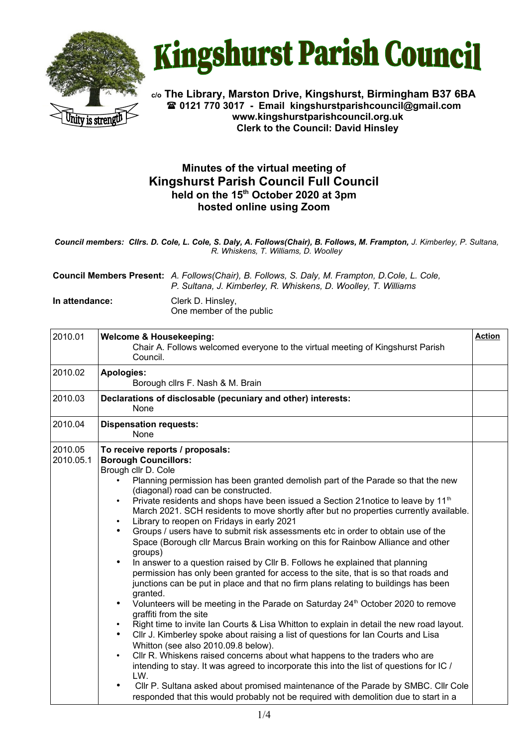



**c/o The Library, Marston Drive, Kingshurst, Birmingham B37 6BA 0121 770 3017 - Email [kingshurstparishcouncil@gmail.com](mailto:kingshurstparishcouncil@gmail.com) www.kingshurstparishcouncil.org.uk Clerk to the Council: David Hinsley** 

## **Minutes of the virtual meeting of Kingshurst Parish Council Full Council held on the 15th October 2020 at 3pm hosted online using Zoom**

*Council members: Cllrs. D. Cole, L. Cole, S. Daly, A. Follows(Chair), B. Follows, M. Frampton, J. Kimberley, P. Sultana, R. Whiskens, T. Williams, D. Woolley*

**Council Members Present:** *A. Follows(Chair), B. Follows, S. Daly, M. Frampton, D.Cole, L. Cole, P. Sultana, J. Kimberley, R. Whiskens, D. Woolley, T. Williams*

**In attendance:** Clerk D. Hinsley, One member of the public

| 2010.01              | <b>Action</b><br><b>Welcome &amp; Housekeeping:</b><br>Chair A. Follows welcomed everyone to the virtual meeting of Kingshurst Parish<br>Council.                                                                                                                                                                                                                                                                                                                                                                                                                                                                                                                                                                                                                                                                                                                                                                                                                                                                                                                                                                                                                                                                                                                                                                                                                                                                                                                                                                                                                                                                                                                                                                                            |  |  |  |  |
|----------------------|----------------------------------------------------------------------------------------------------------------------------------------------------------------------------------------------------------------------------------------------------------------------------------------------------------------------------------------------------------------------------------------------------------------------------------------------------------------------------------------------------------------------------------------------------------------------------------------------------------------------------------------------------------------------------------------------------------------------------------------------------------------------------------------------------------------------------------------------------------------------------------------------------------------------------------------------------------------------------------------------------------------------------------------------------------------------------------------------------------------------------------------------------------------------------------------------------------------------------------------------------------------------------------------------------------------------------------------------------------------------------------------------------------------------------------------------------------------------------------------------------------------------------------------------------------------------------------------------------------------------------------------------------------------------------------------------------------------------------------------------|--|--|--|--|
| 2010.02              | <b>Apologies:</b><br>Borough cllrs F. Nash & M. Brain                                                                                                                                                                                                                                                                                                                                                                                                                                                                                                                                                                                                                                                                                                                                                                                                                                                                                                                                                                                                                                                                                                                                                                                                                                                                                                                                                                                                                                                                                                                                                                                                                                                                                        |  |  |  |  |
| 2010.03              | Declarations of disclosable (pecuniary and other) interests:<br>None                                                                                                                                                                                                                                                                                                                                                                                                                                                                                                                                                                                                                                                                                                                                                                                                                                                                                                                                                                                                                                                                                                                                                                                                                                                                                                                                                                                                                                                                                                                                                                                                                                                                         |  |  |  |  |
| 2010.04              | <b>Dispensation requests:</b><br>None                                                                                                                                                                                                                                                                                                                                                                                                                                                                                                                                                                                                                                                                                                                                                                                                                                                                                                                                                                                                                                                                                                                                                                                                                                                                                                                                                                                                                                                                                                                                                                                                                                                                                                        |  |  |  |  |
| 2010.05<br>2010.05.1 | To receive reports / proposals:<br><b>Borough Councillors:</b><br>Brough cllr D. Cole<br>Planning permission has been granted demolish part of the Parade so that the new<br>(diagonal) road can be constructed.<br>Private residents and shops have been issued a Section 21notice to leave by 11 <sup>th</sup><br>$\bullet$<br>March 2021. SCH residents to move shortly after but no properties currently available.<br>Library to reopen on Fridays in early 2021<br>$\bullet$<br>Groups / users have to submit risk assessments etc in order to obtain use of the<br>$\bullet$<br>Space (Borough cllr Marcus Brain working on this for Rainbow Alliance and other<br>groups)<br>In answer to a question raised by CIIr B. Follows he explained that planning<br>$\bullet$<br>permission has only been granted for access to the site, that is so that roads and<br>junctions can be put in place and that no firm plans relating to buildings has been<br>granted.<br>Volunteers will be meeting in the Parade on Saturday 24th October 2020 to remove<br>$\bullet$<br>graffiti from the site<br>Right time to invite Ian Courts & Lisa Whitton to explain in detail the new road layout.<br>$\bullet$<br>CIIr J. Kimberley spoke about raising a list of questions for lan Courts and Lisa<br>$\bullet$<br>Whitton (see also 2010.09.8 below).<br>CIIr R. Whiskens raised concerns about what happens to the traders who are<br>$\bullet$<br>intending to stay. It was agreed to incorporate this into the list of questions for IC /<br>LW.<br>CIIr P. Sultana asked about promised maintenance of the Parade by SMBC. CIIr Cole<br>$\bullet$<br>responded that this would probably not be required with demolition due to start in a |  |  |  |  |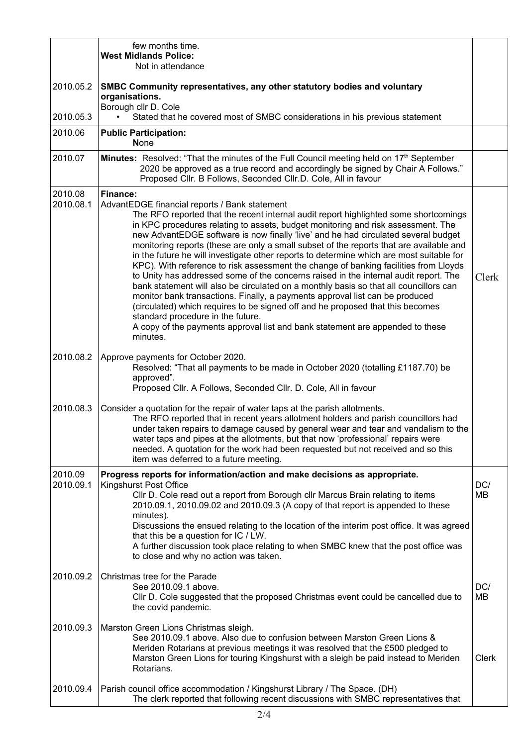|                      | few months time.<br><b>West Midlands Police:</b><br>Not in attendance                                                                                                                                                                                                                                                                                                                                                                                                                                                                                                                                                                                                                                                                                                                                                                                                                                                                                                                                                                                                                                  |                  |  |  |  |  |
|----------------------|--------------------------------------------------------------------------------------------------------------------------------------------------------------------------------------------------------------------------------------------------------------------------------------------------------------------------------------------------------------------------------------------------------------------------------------------------------------------------------------------------------------------------------------------------------------------------------------------------------------------------------------------------------------------------------------------------------------------------------------------------------------------------------------------------------------------------------------------------------------------------------------------------------------------------------------------------------------------------------------------------------------------------------------------------------------------------------------------------------|------------------|--|--|--|--|
| 2010.05.2            | SMBC Community representatives, any other statutory bodies and voluntary<br>organisations.<br>Borough cllr D. Cole                                                                                                                                                                                                                                                                                                                                                                                                                                                                                                                                                                                                                                                                                                                                                                                                                                                                                                                                                                                     |                  |  |  |  |  |
| 2010.05.3            | Stated that he covered most of SMBC considerations in his previous statement                                                                                                                                                                                                                                                                                                                                                                                                                                                                                                                                                                                                                                                                                                                                                                                                                                                                                                                                                                                                                           |                  |  |  |  |  |
| 2010.06              | <b>Public Participation:</b><br><b>None</b>                                                                                                                                                                                                                                                                                                                                                                                                                                                                                                                                                                                                                                                                                                                                                                                                                                                                                                                                                                                                                                                            |                  |  |  |  |  |
| 2010.07              | Minutes: Resolved: "That the minutes of the Full Council meeting held on 17th September<br>2020 be approved as a true record and accordingly be signed by Chair A Follows."<br>Proposed Cllr. B Follows, Seconded Cllr.D. Cole, All in favour                                                                                                                                                                                                                                                                                                                                                                                                                                                                                                                                                                                                                                                                                                                                                                                                                                                          |                  |  |  |  |  |
| 2010.08<br>2010.08.1 | <b>Finance:</b><br>AdvantEDGE financial reports / Bank statement<br>The RFO reported that the recent internal audit report highlighted some shortcomings<br>in KPC procedures relating to assets, budget monitoring and risk assessment. The<br>new AdvantEDGE software is now finally 'live' and he had circulated several budget<br>monitoring reports (these are only a small subset of the reports that are available and<br>in the future he will investigate other reports to determine which are most suitable for<br>KPC). With reference to risk assessment the change of banking facilities from Lloyds<br>to Unity has addressed some of the concerns raised in the internal audit report. The<br>bank statement will also be circulated on a monthly basis so that all councillors can<br>monitor bank transactions. Finally, a payments approval list can be produced<br>(circulated) which requires to be signed off and he proposed that this becomes<br>standard procedure in the future.<br>A copy of the payments approval list and bank statement are appended to these<br>minutes. | Clerk            |  |  |  |  |
| 2010.08.2            | Approve payments for October 2020.<br>Resolved: "That all payments to be made in October 2020 (totalling £1187.70) be<br>approved".<br>Proposed Cllr. A Follows, Seconded Cllr. D. Cole, All in favour                                                                                                                                                                                                                                                                                                                                                                                                                                                                                                                                                                                                                                                                                                                                                                                                                                                                                                 |                  |  |  |  |  |
| 2010.08.3            | Consider a quotation for the repair of water taps at the parish allotments.<br>The RFO reported that in recent years allotment holders and parish councillors had<br>under taken repairs to damage caused by general wear and tear and vandalism to the<br>water taps and pipes at the allotments, but that now 'professional' repairs were<br>needed. A quotation for the work had been requested but not received and so this<br>item was deferred to a future meeting.                                                                                                                                                                                                                                                                                                                                                                                                                                                                                                                                                                                                                              |                  |  |  |  |  |
| 2010.09<br>2010.09.1 | Progress reports for information/action and make decisions as appropriate.<br><b>Kingshurst Post Office</b><br>CIIr D. Cole read out a report from Borough cIIr Marcus Brain relating to items<br>2010.09.1, 2010.09.02 and 2010.09.3 (A copy of that report is appended to these<br>minutes).<br>Discussions the ensued relating to the location of the interim post office. It was agreed<br>that this be a question for IC / LW.<br>A further discussion took place relating to when SMBC knew that the post office was<br>to close and why no action was taken.                                                                                                                                                                                                                                                                                                                                                                                                                                                                                                                                    | DC/<br><b>MB</b> |  |  |  |  |
| 2010.09.2            | Christmas tree for the Parade<br>See 2010.09.1 above.<br>CIIr D. Cole suggested that the proposed Christmas event could be cancelled due to<br>the covid pandemic.                                                                                                                                                                                                                                                                                                                                                                                                                                                                                                                                                                                                                                                                                                                                                                                                                                                                                                                                     | DC/<br><b>MB</b> |  |  |  |  |
| 2010.09.3            | Marston Green Lions Christmas sleigh.<br>See 2010.09.1 above. Also due to confusion between Marston Green Lions &<br>Meriden Rotarians at previous meetings it was resolved that the £500 pledged to<br>Marston Green Lions for touring Kingshurst with a sleigh be paid instead to Meriden<br>Rotarians.                                                                                                                                                                                                                                                                                                                                                                                                                                                                                                                                                                                                                                                                                                                                                                                              | <b>Clerk</b>     |  |  |  |  |
| 2010.09.4            | Parish council office accommodation / Kingshurst Library / The Space. (DH)<br>The clerk reported that following recent discussions with SMBC representatives that                                                                                                                                                                                                                                                                                                                                                                                                                                                                                                                                                                                                                                                                                                                                                                                                                                                                                                                                      |                  |  |  |  |  |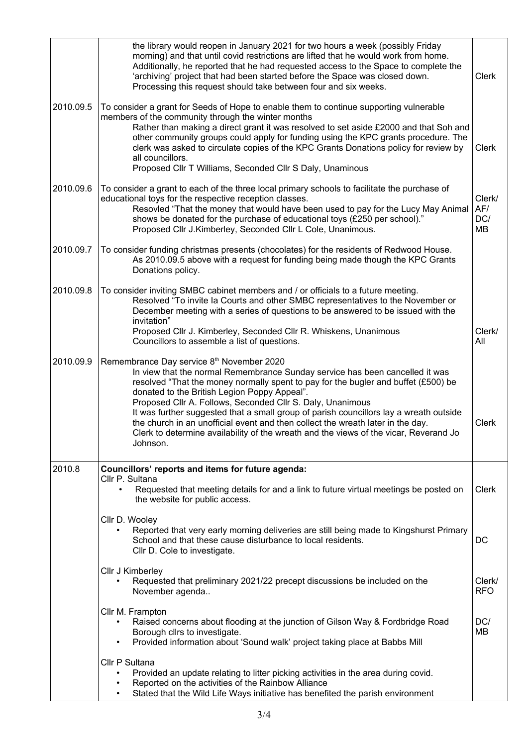|           | the library would reopen in January 2021 for two hours a week (possibly Friday<br>morning) and that until covid restrictions are lifted that he would work from home.<br>Additionally, he reported that he had requested access to the Space to complete the<br>'archiving' project that had been started before the Space was closed down.<br>Processing this request should take between four and six weeks.                                                                                                                                                                                                  | Clerk                |  |  |
|-----------|-----------------------------------------------------------------------------------------------------------------------------------------------------------------------------------------------------------------------------------------------------------------------------------------------------------------------------------------------------------------------------------------------------------------------------------------------------------------------------------------------------------------------------------------------------------------------------------------------------------------|----------------------|--|--|
| 2010.09.5 | To consider a grant for Seeds of Hope to enable them to continue supporting vulnerable<br>members of the community through the winter months<br>Rather than making a direct grant it was resolved to set aside £2000 and that Soh and<br>other community groups could apply for funding using the KPC grants procedure. The<br>clerk was asked to circulate copies of the KPC Grants Donations policy for review by<br>all councillors.<br>Proposed Cllr T Williams, Seconded Cllr S Daly, Unaminous                                                                                                            | Clerk                |  |  |
| 2010.09.6 | To consider a grant to each of the three local primary schools to facilitate the purchase of<br>educational toys for the respective reception classes.<br>Resovled "That the money that would have been used to pay for the Lucy May Animal<br>shows be donated for the purchase of educational toys (£250 per school)."<br>Proposed Cllr J.Kimberley, Seconded Cllr L Cole, Unanimous.                                                                                                                                                                                                                         |                      |  |  |
| 2010.09.7 | To consider funding christmas presents (chocolates) for the residents of Redwood House.<br>As 2010.09.5 above with a request for funding being made though the KPC Grants<br>Donations policy.                                                                                                                                                                                                                                                                                                                                                                                                                  |                      |  |  |
| 2010.09.8 | To consider inviting SMBC cabinet members and / or officials to a future meeting.<br>Resolved "To invite la Courts and other SMBC representatives to the November or<br>December meeting with a series of questions to be answered to be issued with the<br>invitation"<br>Proposed Cllr J. Kimberley, Seconded Cllr R. Whiskens, Unanimous<br>Councillors to assemble a list of questions.                                                                                                                                                                                                                     | Clerk/<br>All        |  |  |
| 2010.09.9 | Remembrance Day service 8th November 2020<br>In view that the normal Remembrance Sunday service has been cancelled it was<br>resolved "That the money normally spent to pay for the bugler and buffet (£500) be<br>donated to the British Legion Poppy Appeal".<br>Proposed Cllr A. Follows, Seconded Cllr S. Daly, Unanimous<br>It was further suggested that a small group of parish councillors lay a wreath outside<br>the church in an unofficial event and then collect the wreath later in the day.<br>Clerk to determine availability of the wreath and the views of the vicar, Reverand Jo<br>Johnson. | Clerk                |  |  |
| 2010.8    | Councillors' reports and items for future agenda:<br>Cllr P. Sultana                                                                                                                                                                                                                                                                                                                                                                                                                                                                                                                                            |                      |  |  |
|           | Requested that meeting details for and a link to future virtual meetings be posted on<br>the website for public access.                                                                                                                                                                                                                                                                                                                                                                                                                                                                                         | <b>Clerk</b>         |  |  |
|           | Cllr D. Wooley<br>Reported that very early morning deliveries are still being made to Kingshurst Primary<br>$\bullet$<br>School and that these cause disturbance to local residents.<br>CIIr D. Cole to investigate.                                                                                                                                                                                                                                                                                                                                                                                            | DC                   |  |  |
|           | Cllr J Kimberley<br>Requested that preliminary 2021/22 precept discussions be included on the<br>November agenda                                                                                                                                                                                                                                                                                                                                                                                                                                                                                                | Clerk/<br><b>RFO</b> |  |  |
|           | Cllr M. Frampton<br>Raised concerns about flooding at the junction of Gilson Way & Fordbridge Road<br>Borough cllrs to investigate.<br>Provided information about 'Sound walk' project taking place at Babbs Mill<br>$\bullet$                                                                                                                                                                                                                                                                                                                                                                                  | DC/<br>MВ            |  |  |
|           | Cllr P Sultana<br>Provided an update relating to litter picking activities in the area during covid.<br>Reported on the activities of the Rainbow Alliance<br>Stated that the Wild Life Ways initiative has benefited the parish environment<br>$\bullet$                                                                                                                                                                                                                                                                                                                                                       |                      |  |  |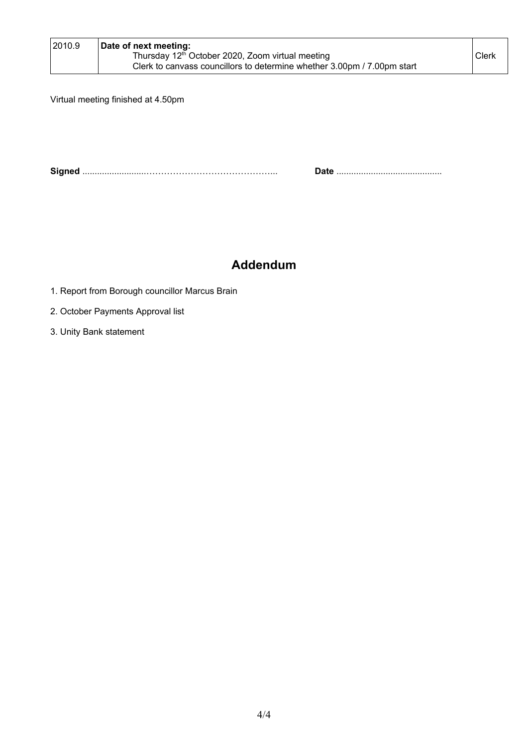| 2010.9 | Date of next meeting:<br>Thursday 12 <sup>th</sup> October 2020, Zoom virtual meeting | Clerk <sup>®</sup> |
|--------|---------------------------------------------------------------------------------------|--------------------|
|        | Clerk to canvass councillors to determine whether 3.00pm / 7.00pm start               |                    |

Virtual meeting finished at 4.50pm

**Signed** ..........................……………………………………... **Date** ...........................................

## **Addendum**

- 1. Report from Borough councillor Marcus Brain
- 2. October Payments Approval list
- 3. Unity Bank statement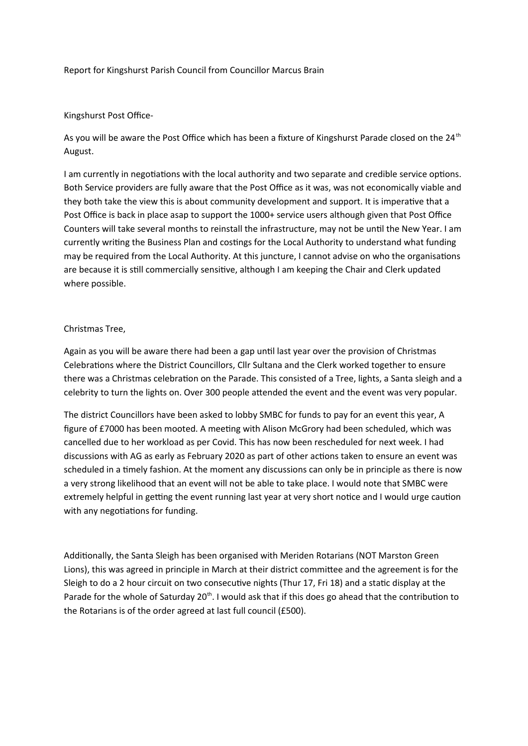#### Report for Kingshurst Parish Council from Councillor Marcus Brain

#### Kingshurst Post Office-

As you will be aware the Post Office which has been a fixture of Kingshurst Parade closed on the 24<sup>th</sup> August.

I am currently in negotiations with the local authority and two separate and credible service options. Both Service providers are fully aware that the Post Office as it was, was not economically viable and they both take the view this is about community development and support. It is imperative that a Post Office is back in place asap to support the 1000+ service users although given that Post Office Counters will take several months to reinstall the infrastructure, may not be until the New Year. I am currently writing the Business Plan and costings for the Local Authority to understand what funding may be required from the Local Authority. At this juncture, I cannot advise on who the organisations are because it is still commercially sensitive, although I am keeping the Chair and Clerk updated where possible.

#### Christmas Tree,

Again as you will be aware there had been a gap until last year over the provision of Christmas Celebrations where the District Councillors, Cllr Sultana and the Clerk worked together to ensure there was a Christmas celebration on the Parade. This consisted of a Tree, lights, a Santa sleigh and a celebrity to turn the lights on. Over 300 people attended the event and the event was very popular.

The district Councillors have been asked to lobby SMBC for funds to pay for an event this year, A figure of £7000 has been mooted. A meeting with Alison McGrory had been scheduled, which was cancelled due to her workload as per Covid. This has now been rescheduled for next week. I had discussions with AG as early as February 2020 as part of other actions taken to ensure an event was scheduled in a timely fashion. At the moment any discussions can only be in principle as there is now a very strong likelihood that an event will not be able to take place. I would note that SMBC were extremely helpful in getting the event running last year at very short notice and I would urge caution with any negotiations for funding.

Additionally, the Santa Sleigh has been organised with Meriden Rotarians (NOT Marston Green Lions), this was agreed in principle in March at their district committee and the agreement is for the Sleigh to do a 2 hour circuit on two consecutive nights (Thur 17, Fri 18) and a static display at the Parade for the whole of Saturday  $20<sup>th</sup>$ . I would ask that if this does go ahead that the contribution to the Rotarians is of the order agreed at last full council (£500).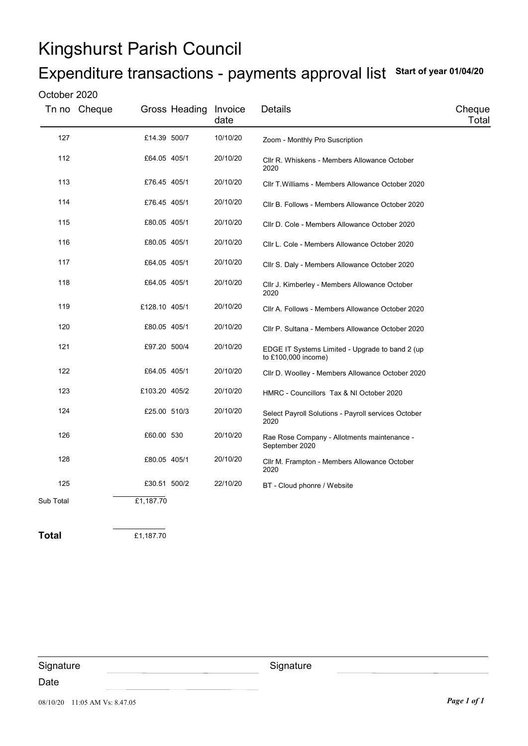## Kingshurst Parish Council

## Expenditure transactions - payments approval list Start of year 01/04/20

### October 2020

|           | Tn no Cheque | Gross Heading Invoice | date     | Details                                                                | Cheque<br>Total |
|-----------|--------------|-----------------------|----------|------------------------------------------------------------------------|-----------------|
| 127       |              | £14.39 500/7          | 10/10/20 | Zoom - Monthly Pro Suscription                                         |                 |
| 112       |              | £64.05 405/1          | 20/10/20 | CIIr R. Whiskens - Members Allowance October<br>2020                   |                 |
| 113       |              | £76.45 405/1          | 20/10/20 | Cllr T. Williams - Members Allowance October 2020                      |                 |
| 114       |              | £76.45 405/1          | 20/10/20 | Cllr B. Follows - Members Allowance October 2020                       |                 |
| 115       |              | £80.05 405/1          | 20/10/20 | Cllr D. Cole - Members Allowance October 2020                          |                 |
| 116       |              | £80.05 405/1          | 20/10/20 | Cllr L. Cole - Members Allowance October 2020                          |                 |
| 117       |              | £64.05 405/1          | 20/10/20 | Cllr S. Daly - Members Allowance October 2020                          |                 |
| 118       |              | £64.05 405/1          | 20/10/20 | Cllr J. Kimberley - Members Allowance October<br>2020                  |                 |
| 119       |              | £128.10 405/1         | 20/10/20 | Cllr A. Follows - Members Allowance October 2020                       |                 |
| 120       |              | £80.05 405/1          | 20/10/20 | Cllr P. Sultana - Members Allowance October 2020                       |                 |
| 121       |              | £97.20 500/4          | 20/10/20 | EDGE IT Systems Limited - Upgrade to band 2 (up<br>to £100,000 income) |                 |
| 122       |              | £64.05 405/1          | 20/10/20 | Cllr D. Woolley - Members Allowance October 2020                       |                 |
| 123       |              | £103.20 405/2         | 20/10/20 | HMRC - Councillors Tax & NI October 2020                               |                 |
| 124       |              | £25.00 510/3          | 20/10/20 | Select Payroll Solutions - Payroll services October<br>2020            |                 |
| 126       |              | £60.00 530            | 20/10/20 | Rae Rose Company - Allotments maintenance -<br>September 2020          |                 |
| 128       |              | £80.05 405/1          | 20/10/20 | Cllr M. Frampton - Members Allowance October<br>2020                   |                 |
| 125       |              | £30.51 500/2          | 22/10/20 | BT - Cloud phonre / Website                                            |                 |
| Sub Total | £1,187.70    |                       |          |                                                                        |                 |
|           |              |                       |          |                                                                        |                 |

Total £1,187.70

08/10/20 11:05 AM Vs: 8.47.05 **Page 1 of 1 Signature** Date **Signature**